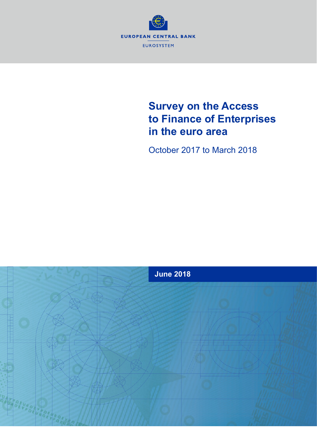

# **Survey on the Access to Finance of Enterprises in the euro area**

October 2017 to March 2018

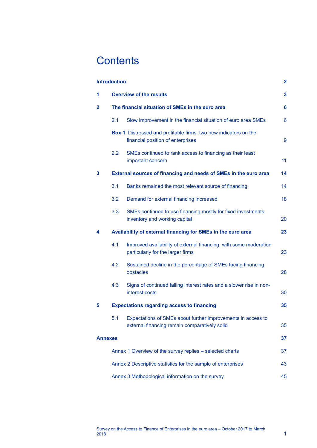# **Contents**

|                | <b>Introduction</b>                                          |                                                                                                                   | $\overline{2}$ |  |  |  |  |  |  |
|----------------|--------------------------------------------------------------|-------------------------------------------------------------------------------------------------------------------|----------------|--|--|--|--|--|--|
| 1              | <b>Overview of the results</b>                               |                                                                                                                   |                |  |  |  |  |  |  |
| 2              | The financial situation of SMEs in the euro area             |                                                                                                                   |                |  |  |  |  |  |  |
|                | 2.1                                                          | Slow improvement in the financial situation of euro area SMEs                                                     | 6              |  |  |  |  |  |  |
|                |                                                              | Box 1 Distressed and profitable firms: two new indicators on the<br>financial position of enterprises             | 9              |  |  |  |  |  |  |
|                | $2.2^{\circ}$                                                | SMEs continued to rank access to financing as their least<br>important concern                                    | 11             |  |  |  |  |  |  |
| 3              |                                                              | External sources of financing and needs of SMEs in the euro area                                                  | 14             |  |  |  |  |  |  |
|                | 3.1                                                          | Banks remained the most relevant source of financing                                                              | 14             |  |  |  |  |  |  |
|                | 3.2                                                          | Demand for external financing increased                                                                           | 18             |  |  |  |  |  |  |
|                | 3.3                                                          | SMEs continued to use financing mostly for fixed investments,<br>inventory and working capital                    | 20             |  |  |  |  |  |  |
| 4              |                                                              | Availability of external financing for SMEs in the euro area                                                      | 23             |  |  |  |  |  |  |
|                | 4.1                                                          | Improved availability of external financing, with some moderation<br>particularly for the larger firms            | 23             |  |  |  |  |  |  |
|                | 4.2                                                          | Sustained decline in the percentage of SMEs facing financing<br>obstacles                                         | 28             |  |  |  |  |  |  |
|                | 4.3                                                          | Signs of continued falling interest rates and a slower rise in non-<br>interest costs                             | 30             |  |  |  |  |  |  |
| 5              | <b>Expectations regarding access to financing</b>            |                                                                                                                   |                |  |  |  |  |  |  |
|                |                                                              | 5.1 Expectations of SMEs about further improvements in access to<br>external financing remain comparatively solid | 35             |  |  |  |  |  |  |
| <b>Annexes</b> |                                                              |                                                                                                                   | 37             |  |  |  |  |  |  |
|                | Annex 1 Overview of the survey replies - selected charts     |                                                                                                                   |                |  |  |  |  |  |  |
|                | Annex 2 Descriptive statistics for the sample of enterprises |                                                                                                                   |                |  |  |  |  |  |  |
|                |                                                              | Annex 3 Methodological information on the survey                                                                  | 45             |  |  |  |  |  |  |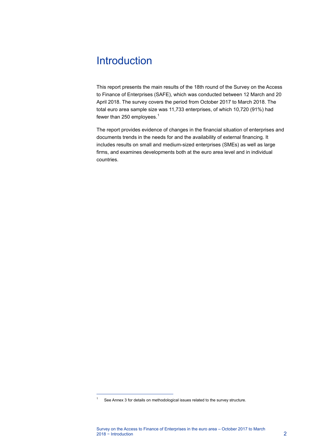# <span id="page-2-0"></span>**Introduction**

This report presents the main results of the 18th round of the Survey on the Access to Finance of Enterprises (SAFE), which was conducted between 12 March and 20 April 2018. The survey covers the period from October 2017 to March 2018. The total euro area sample size was 11,733 enterprises, of which 10,720 (91%) had fewer than 250 employees.<sup>[1](#page-2-1)</sup>

The report provides evidence of changes in the financial situation of enterprises and documents trends in the needs for and the availability of external financing. It includes results on small and medium-sized enterprises (SMEs) as well as large firms, and examines developments both at the euro area level and in individual countries.

 $\overline{a}$ 

<span id="page-2-1"></span> $1 -$  See Annex 3 for details on methodological issues related to the survey structure.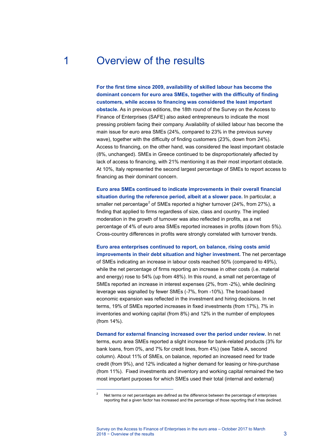# <span id="page-3-0"></span>1 Overview of the results

**For the first time since 2009, availability of skilled labour has become the dominant concern for euro area SMEs, together with the difficulty of finding customers, while access to financing was considered the least important obstacle.** As in previous editions, the 18th round of the Survey on the Access to Finance of Enterprises (SAFE) also asked entrepreneurs to indicate the most pressing problem facing their company. Availability of skilled labour has become the main issue for euro area SMEs (24%, compared to 23% in the previous survey wave), together with the difficulty of finding customers (23%, down from 24%). Access to financing, on the other hand, was considered the least important obstacle (8%, unchanged). SMEs in Greece continued to be disproportionately affected by lack of access to financing, with 21% mentioning it as their most important obstacle. At 10%, Italy represented the second largest percentage of SMEs to report access to financing as their dominant concern.

**Euro area SMEs continued to indicate improvements in their overall financial situation during the reference period, albeit at a slower pace.** In particular, a smaller net percentage<sup>[2](#page-3-1)</sup> of SMEs reported a higher turnover (24%, from 27%), a finding that applied to firms regardless of size, class and country. The implied moderation in the growth of turnover was also reflected in profits, as a net percentage of 4% of euro area SMEs reported increases in profits (down from 5%). Cross-country differences in profits were strongly correlated with turnover trends.

**Euro area enterprises continued to report, on balance, rising costs amid improvements in their debt situation and higher investment.** The net percentage of SMEs indicating an increase in labour costs reached 50% (compared to 49%), while the net percentage of firms reporting an increase in other costs (i.e. material and energy) rose to 54% (up from 48%). In this round, a small net percentage of SMEs reported an increase in interest expenses (2%, from -2%), while declining leverage was signalled by fewer SMEs (-7%, from -10%). The broad-based economic expansion was reflected in the investment and hiring decisions. In net terms, 19% of SMEs reported increases in fixed investments (from 17%), 7% in inventories and working capital (from 8%) and 12% in the number of employees (from 14%).

**Demand for external financing increased over the period under review.** In net terms, euro area SMEs reported a slight increase for bank-related products (3% for bank loans, from 0%, and 7% for credit lines, from 4%) (se[e Table A,](#page-4-0) second column). About 11% of SMEs, on balance, reported an increased need for trade credit (from 9%), and 12% indicated a higher demand for leasing or hire-purchase (from 11%). Fixed investments and inventory and working capital remained the two most important purposes for which SMEs used their total (internal and external)

<span id="page-3-1"></span> $\overline{a}$ 

Net terms or net percentages are defined as the difference between the percentage of enterprises reporting that a given factor has increased and the percentage of those reporting that it has declined.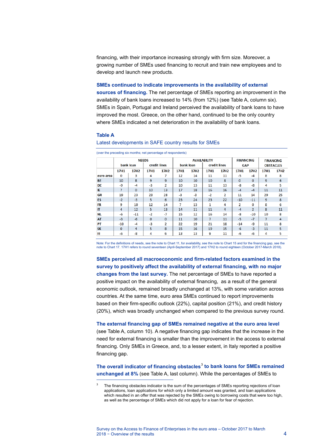financing, with their importance increasing strongly with firm size. Moreover, a growing number of SMEs used financing to recruit and train new employees and to develop and launch new products.

### **SMEs continued to indicate improvements in the availability of external**

**sources of financing.** The net percentage of SMEs reporting an improvement in the availability of bank loans increased to 14% (from 12%) (se[e Table A,](#page-4-0) column six). SMEs in Spain, Portugal and Ireland perceived the availability of bank loans to have improved the most. Greece, on the other hand, continued to be the only country where SMEs indicated a net deterioration in the availability of bank loans.

### <span id="page-4-0"></span>**Table A**

j

|           | <b>NEEDS</b> |                  |              |                  | <b>AVAILABILITY</b> |                  |              | <b>FINANCING</b> |             | <b>FINANCING</b> |                  |             |
|-----------|--------------|------------------|--------------|------------------|---------------------|------------------|--------------|------------------|-------------|------------------|------------------|-------------|
|           | bank loan    |                  | credit lines |                  | bank loan           |                  | credit lines |                  | <b>GAP</b>  |                  | <b>OBSTACLES</b> |             |
|           | <b>17H1</b>  | 17H <sub>2</sub> | <b>17H1</b>  | 17H <sub>2</sub> | <b>17H1</b>         | 17H <sub>2</sub> | <b>17H1</b>  | <b>17H2</b>      | <b>17H1</b> | <b>17H2</b>      | <b>17H1</b>      | <b>17H2</b> |
| euro area | 0            | з                | 4            | 7                | 12                  | 14               | 11           | 11               | -5          | -4               | 8                | 8           |
| <b>BE</b> | 10           | 8                | 9            | 9                | 10                  | 10               | 10           | 8                | 0           | $\circ$          | 9                | 6           |
| DE        | -9           | $-4$             | $-3$         | 2                | 10                  | 13               | 11           | 13               | -8          | -8               | 4                | 5           |
| IE        | 7            | $\mathbf 0$      | 10           | 13               | 17                  | 18               | 16           | 16               | $-4$        | $-4$             | 11               | 11          |
| GR        | 19           | 23               | 23           | 28               | -3                  | -3               | $-2$         | 2                | 11          | 14               | 29               | 25          |
| ES        | $-2$         | $-3$             | 5            | 6                | 23                  | 24               | 23           | 22               | $-10$       | $-11$            | 9                | 8           |
| FR        | 9            | 10               | 12           | 14               | 7                   | 13               | 1            | 4                | 2           | 0                | 8                | 6           |
| π         | 4            | 12               | 5            | 13               | 14                  | 11               | 11           | 4                | $-4$        | $\overline{2}$   | 8                | 11          |
| <b>NL</b> | -6           | $-11$            | $-2$         | $-7$             | 15                  | 12               | 16           | 14               | -8          | -10              | 10               | 8           |
| <b>AT</b> | $-3$         | $-6$             | $\mathbf{0}$ | 0                | 11                  | 10               | 7            | 11               | $-5$        | $-7$             | 7                | 4           |
| PT        | $-10$        | $-4$             | -3           | $\overline{2}$   | 22                  | 19               | 21           | 18               | $-14$       | -9               | 11               | 8           |
| <b>SK</b> | $\mathbf 0$  | 4                | 5            | 8                | 15                  | 16               | 19           | 15               | $-6$        | $-3$             | 11               | 5           |
| FI        | -6           | -8               | 4            | 6                | 13                  | 13               | 9            | 11               | -6          | -6               | 4                | 5           |

Latest developments in SAFE country results for SMEs

Note: For the definitions of needs, see the note t[o Chart 11,](#page-19-0) for availability, see the note t[o Chart 15](#page-23-2) and for the financing gap, see the note t[o Chart 17.](#page-25-0) 17H1 refers to round seventeen (April-September 2017) and 17H2 to round eighteen (October 2017-March 2018).

**SMEs perceived all macroeconomic and firm-related factors examined in the survey to positively affect the availability of external financing, with no major changes from the last survey.** The net percentage of SMEs to have reported a positive impact on the availability of external financing, as a result of the general economic outlook, remained broadly unchanged at 13%, with some variation across countries. At the same time, euro area SMEs continued to report improvements based on their firm-specific outlook (22%), capital position (21%), and credit history (20%), which was broadly unchanged when compared to the previous survey round.

**The external financing gap of SMEs remained negative at the euro area level** (see [Table A,](#page-4-0) column 10). A negative financing gap indicates that the increase in the need for external financing is smaller than the improvement in the access to external financing. Only SMEs in Greece, and, to a lesser extent, in Italy reported a positive financing gap.

**The overall indicator of financing obstacles**[3](#page-4-1) **to bank loans for SMEs remained unchanged at 8%** (see [Table A,](#page-4-0) last column). While the percentages of SMEs to

<span id="page-4-1"></span>The financing obstacles indicator is the sum of the percentages of SMEs reporting rejections of loan applications, loan applications for which only a limited amount was granted, and loan applications which resulted in an offer that was rejected by the SMEs owing to borrowing costs that were too high, as well as the percentage of SMEs which did not apply for a loan for fear of rejection.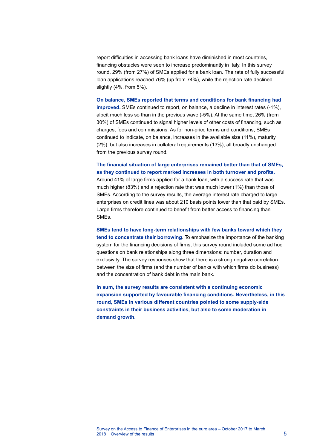report difficulties in accessing bank loans have diminished in most countries, financing obstacles were seen to increase predominantly in Italy. In this survey round, 29% (from 27%) of SMEs applied for a bank loan. The rate of fully successful loan applications reached 76% (up from 74%), while the rejection rate declined slightly (4%, from 5%).

**On balance, SMEs reported that terms and conditions for bank financing had improved.** SMEs continued to report, on balance, a decline in interest rates (-1%), albeit much less so than in the previous wave (-5%). At the same time, 26% (from 30%) of SMEs continued to signal higher levels of other costs of financing, such as charges, fees and commissions. As for non-price terms and conditions, SMEs continued to indicate, on balance, increases in the available size (11%), maturity (2%), but also increases in collateral requirements (13%), all broadly unchanged from the previous survey round.

## **The financial situation of large enterprises remained better than that of SMEs, as they continued to report marked increases in both turnover and profits.**

Around 41% of large firms applied for a bank loan, with a success rate that was much higher (83%) and a rejection rate that was much lower (1%) than those of SMEs. According to the survey results, the average interest rate charged to large enterprises on credit lines was about 210 basis points lower than that paid by SMEs. Large firms therefore continued to benefit from better access to financing than SMEs.

**SMEs tend to have long-term relationships with few banks toward which they tend to concentrate their borrowing**. To emphasize the importance of the banking system for the financing decisions of firms, this survey round included some ad hoc questions on bank relationships along three dimensions: number, duration and exclusivity. The survey responses show that there is a strong negative correlation between the size of firms (and the number of banks with which firms do business) and the concentration of bank debt in the main bank.

**In sum, the survey results are consistent with a continuing economic expansion supported by favourable financing conditions. Nevertheless, in this round, SMEs in various different countries pointed to some supply-side constraints in their business activities, but also to some moderation in demand growth.**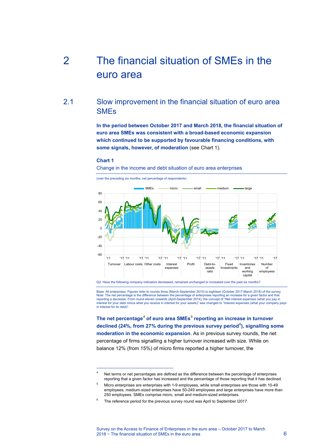# <span id="page-6-0"></span>2 The financial situation of SMEs in the euro area

# 2.1 Slow improvement in the financial situation of euro area SMEs

<span id="page-6-1"></span>**In the period between October 2017 and March 2018, the financial situation of euro area SMEs was consistent with a broad-based economic expansion which continued to be supported by favourable financing conditions, with some signals, however, of moderation** (see [Chart 1\)](#page-6-2).

### <span id="page-6-2"></span>**Chart 1**

 $\overline{a}$ 

Change in the income and debt situation of euro area enterprises



(over the preceding six months; net percentage of respondents)

Q2. Have the following company indicators decreased, remained unchanged or increased over the past six months?

Base: All enterprises. Figures refer to rounds three (March-September 2010) to eighteen (October 2017-March 2018) of the survey. Note: The net percentage is the difference between the percentage of enterprises reporting an increase for a given factor and that<br>reporting a decrease. From round eleven onwards (April-September 2014), the concept of "Net interest for your debt minus what you receive in interest for your assets)" was changed to "Interest expenses (what your company pays in interest for its debt)".

**The net percentage<sup>[4](#page-6-3)</sup> of euro area SMEs<sup>[5](#page-6-4)</sup> reporting an increase in turnover** declined (24%, from 27% during the previous survey period<sup>[6](#page-6-5)</sup>), signalling some **moderation in the economic expansion**. As in previous survey rounds, the net percentage of firms signalling a higher turnover increased with size. While on balance 12% (from 15%) of micro firms reported a higher turnover, the

<span id="page-6-3"></span>Net terms or net percentages are defined as the difference between the percentage of enterprises reporting that a given factor has increased and the percentage of those reporting that it has declined.

<span id="page-6-4"></span><sup>5</sup> Micro enterprises are enterprises with 1-9 employees, while small enterprises are those with 10-49 employees, medium-sized enterprises have 50-249 employees and large enterprises have more than 250 employees. SMEs comprise micro, small and medium-sized enterprises.

<span id="page-6-5"></span>The reference period for the previous survey round was April to September I2017.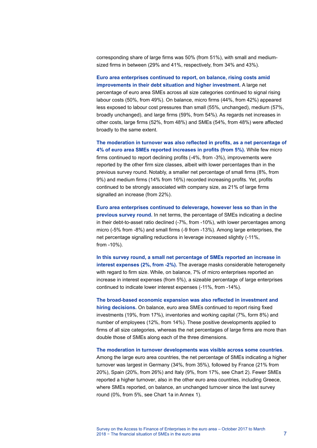corresponding share of large firms was 50% (from 51%), with small and mediumsized firms in between (29% and 41%, respectively, from 34% and 43%).

**Euro area enterprises continued to report, on balance, rising costs amid improvements in their debt situation and higher investment.** A large net percentage of euro area SMEs across all size categories continued to signal rising labour costs (50%, from 49%). On balance, micro firms (44%, from 42%) appeared less exposed to labour cost pressures than small (55%, unchanged), medium (57%, broadly unchanged), and large firms (59%, from 54%). As regards net increases in other costs, large firms (52%, from 48%) and SMEs (54%, from 48%) were affected broadly to the same extent.

**The moderation in turnover was also reflected in profits, as a net percentage of 4% of euro area SMEs reported increases in profits (from 5%).** While few micro firms continued to report declining profits (-4%, from -3%), improvements were reported by the other firm size classes, albeit with lower percentages than in the previous survey round. Notably, a smaller net percentage of small firms (8%, from 9%) and medium firms (14% from 16%) recorded increasing profits. Yet, profits continued to be strongly associated with company size, as 21% of large firms signalled an increase (from 22%).

**Euro area enterprises continued to deleverage, however less so than in the previous survey round.** In net terms, the percentage of SMEs indicating a decline in their debt-to-asset ratio declined (-7%, from -10%), with lower percentages among micro (-5% from -8%) and small firms (-9 from -13%). Among large enterprises, the net percentage signalling reductions in leverage increased slightly (-11%, from -10%).

**In this survey round, a small net percentage of SMEs reported an increase in interest expenses (2%, from -2%).** The average masks considerable heterogeneity with regard to firm size. While, on balance, 7% of micro enterprises reported an increase in interest expenses (from 5%), a sizeable percentage of large enterprises continued to indicate lower interest expenses (-11%, from -14%).

**The broad-based economic expansion was also reflected in investment and hiring decisions.** On balance, euro area SMEs continued to report rising fixed investments (19%, from 17%), inventories and working capital (7%, form 8%) and number of employees (12%, from 14%). These positive developments applied to firms of all size categories, whereas the net percentages of large firms are more than double those of SMEs along each of the three dimensions.

**The moderation in turnover developments was visible across some countries**. Among the large euro area countries, the net percentage of SMEs indicating a higher turnover was largest in Germany (34%, from 35%), followed by France (21% from 20%), Spain (20%, from 26%) and Italy (9%, from 17%, see [Chart 2\)](#page-8-0). Fewer SMEs reported a higher turnover, also in the other euro area countries, including Greece, where SMEs reported, on balance, an unchanged turnover since the last survey round (0%, from 5%, see [Chart 1a](#page-37-2) in Annex 1).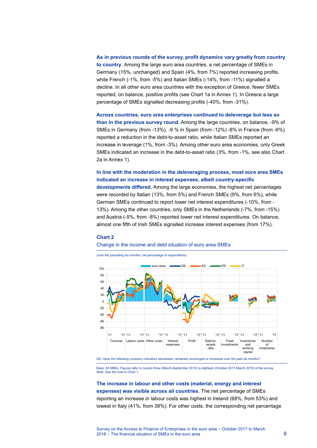### **As in previous rounds of the survey, profit dynamics vary greatly from country**

**to country**. Among the large euro area countries, a net percentage of SMEs in Germany (15%, unchanged) and Spain (4%, from 7%) reported increasing profits, while French (-1%, from -5%) and Italian SMEs (-14%, from -11%) signalled a decline. In all other euro area countries with the exception of Greece, fewer SMEs reported, on balance, positive profits (see [Chart 1a](#page-37-2) in Annex 1). In Greece a large percentage of SMEs signalled decreasing profits (-40%, from -31%).

**Across countries, euro area enterprises continued to deleverage but less so than in the previous survey round.** Among the large countries, on balance, -9% of SMEs in Germany (from -13%), -9 % in Spain (from -12%) -8% in France (from -6%) reported a reduction in the debt-to-asset ratio, while Italian SMEs reported an increase in leverage (1%, from -3%). Among other euro area economies, only Greek SMEs indicated an increase in the debt-to-asset ratio (3%, from -1%, see also [Chart](#page-37-3)  [2a](#page-37-3) in Annex 1).

## **In line with the moderation in the deleveraging process, most euro area SMEs indicated an increase in interest expenses, albeit country-specific**

**developments differed.** Among the large economies, the highest net percentages were recorded by Italian (13%, from 5%) and French SMEs (9%, from 6%), while German SMEs continued to report lower net interest expenditures (-10%, from - 13%). Among the other countries, only SMEs in the Netherlands (-7%, from -15%) and Austria (-5%, from -8%) reported lower net interest expenditures. On balance, almost one fifth of Irish SMEs signalled increase interest expenses (from 17%).

#### <span id="page-8-0"></span>**Chart 2**

### Change in the income and debt situation of euro area SMEs

(over the preceding six months; net percentage of respondents)



Q2. Have the following company indicators decreased, remained unchanged or increased over the past six months?

Base: All SMEs. Figures refer to rounds three (March-September 2010) to eighteen (October 2017-March 2018) of the survey. Note: See the note to Chart 1

## **The increase in labour and other costs (material, energy and interest expenses) was visible across all countries**. The net percentage of SMEs reporting an increase in labour costs was highest in Ireland (68%, from 53%) and lowest in Italy (41%, from 38%). For other costs, the corresponding net percentage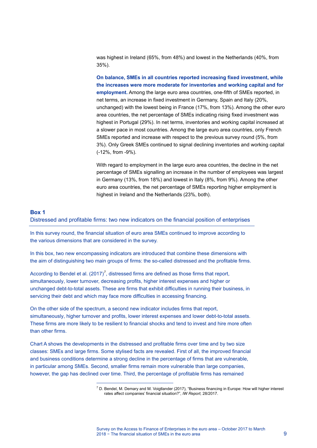was highest in Ireland (65%, from 48%) and lowest in the Netherlands (40%, from 35%).

**On balance, SMEs in all countries reported increasing fixed investment, while the increases were more moderate for inventories and working capital and for employment.** Among the large euro area countries, one-fifth of SMEs reported, in net terms, an increase in fixed investment in Germany, Spain and Italy (20%, unchanged) with the lowest being in France (17%, from 13%). Among the other euro area countries, the net percentage of SMEs indicating rising fixed investment was highest in Portugal (29%). In net terms, inventories and working capital increased at a slower pace in most countries. Among the large euro area countries, only French SMEs reported and increase with respect to the previous survey round (5%, from 3%). Only Greek SMEs continued to signal declining inventories and working capital (-12%, from -9%).

With regard to employment in the large euro area countries, the decline in the net percentage of SMEs signalling an increase in the number of employees was largest in Germany (13%, from 18%) and lowest in Italy (8%, from 9%). Among the other euro area countries, the net percentage of SMEs reporting higher employment is highest in Ireland and the Netherlands (23%, both).

### <span id="page-9-0"></span>**Box 1**

Distressed and profitable firms: two new indicators on the financial position of enterprises

In this survey round, the financial situation of euro area SMEs continued to improve according to the various dimensions that are considered in the survey.

In this box, two new encompassing indicators are introduced that combine these dimensions with the aim of distinguishing two main groups of firms: the so-called distressed and the profitable firms.

According to Bendel et al.  $(2017)^7$  $(2017)^7$  $(2017)^7$ , distressed firms are defined as those firms that report, simultaneously, lower turnover, decreasing profits, higher interest expenses and higher or unchanged debt-to-total assets. These are firms that exhibit difficulties in running their business, in servicing their debt and which may face more difficulties in accessing financing.

On the other side of the spectrum, a second new indicator includes firms that report, simultaneously, higher turnover and profits, lower interest expenses and lower debt-to-total assets. These firms are more likely to be resilient to financial shocks and tend to invest and hire more often than other firms.

<span id="page-9-1"></span>[Chart A](#page-10-0) shows the developments in the distressed and profitable firms over time and by two size classes: SMEs and large firms. Some stylised facts are revealed. First of all, the improved financial and business conditions determine a strong decline in the percentage of firms that are vulnerable, in particular among SMEs. Second, smaller firms remain more vulnerable than large companies, however, the gap has declined over time. Third, the percentage of profitable firms has remained

 $\overline{a}$ 

 $<sup>7</sup>$  D. Bendel, M. Demary and M. Voigtlander (2017), "Business financing in Europe: How will higher interest</sup> rates affect companies' financial situation?", *IW Report,* 28/2017.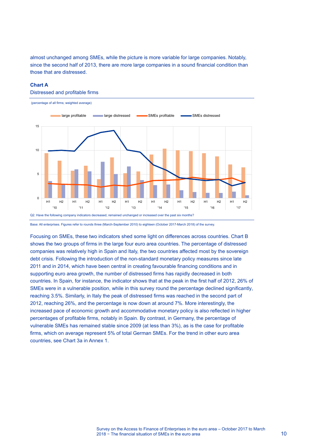almost unchanged among SMEs, while the picture is more variable for large companies. Notably, since the second half of 2013, there are more large companies in a sound financial condition than those that are distressed.

### <span id="page-10-0"></span>**Chart A**

Distressed and profitable firms



Base: All enterprises. Figures refer to rounds three (March-September 2010) to eighteen (October 2017-March 2018) of the survey.

Focusing on SMEs, these two indicators shed some light on differences across countries. [Chart B](#page-11-1) shows the two groups of firms in the large four euro area countries. The percentage of distressed companies was relatively high in Spain and Italy, the two countries affected most by the sovereign debt crisis. Following the introduction of the non-standard monetary policy measures since late 2011 and in 2014, which have been central in creating favourable financing conditions and in supporting euro area growth, the number of distressed firms has rapidly decreased in both countries. In Spain, for instance, the indicator shows that at the peak in the first half of 2012, 26% of SMEs were in a vulnerable position, while in this survey round the percentage declined significantly, reaching 3.5%. Similarly, in Italy the peak of distressed firms was reached in the second part of 2012, reaching 26%, and the percentage is now down at around 7%. More interestingly, the increased pace of economic growth and accommodative monetary policy is also reflected in higher percentages of profitable firms, notably in Spain. By contrast, in Germany, the percentage of vulnerable SMEs has remained stable since 2009 (at less than 3%), as is the case for profitable firms, which on average represent 5% of total German SMEs. For the trend in other euro area countries, see [Chart 3a](#page-38-0) in Annex 1.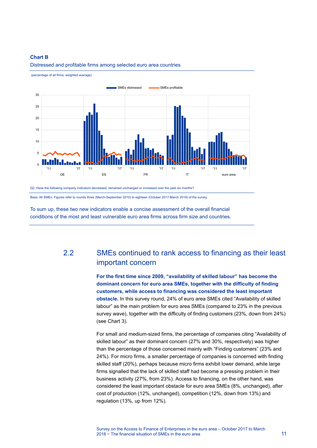### <span id="page-11-1"></span>**Chart B**



Distressed and profitable firms among selected euro area countries

(percentage of all firms; weighted average)

Base: All SMEs. Figures refer to rounds three (March-September 2010) to eighteen (October 2017-March 2018) of the survey.

To sum up, these two new indicators enable a concise assessment of the overall financial conditions of the most and least vulnerable euro area firms across firm size and countries.

# <span id="page-11-0"></span>2.2 SMEs continued to rank access to financing as their least important concern

**For the first time since 2009, "availability of skilled labour" has become the dominant concern for euro area SMEs, together with the difficulty of finding customers, while access to financing was considered the least important obstacle.** In this survey round, 24% of euro area SMEs cited "Availability of skilled labour" as the main problem for euro area SMEs (compared to 23% in the previous survey wave), together with the difficulty of finding customers (23%, down from 24%) (see [Chart 3\)](#page-12-0).

For small and medium-sized firms, the percentage of companies citing "Availability of skilled labour" as their dominant concern (27% and 30%, respectively) was higher than the percentage of those concerned mainly with "Finding customers" (23% and 24%). For micro firms, a smaller percentage of companies is concerned with finding skilled staff (20%), perhaps because micro firms exhibit lower demand, while large firms signalled that the lack of skilled staff had become a pressing problem in their business activity (27%, from 23%). Access to financing, on the other hand, was considered the least important obstacle for euro area SMEs (8%, unchanged), after cost of production (12%, unchanged), competition (12%, down from 13%) and regulation (13%, up from 12%).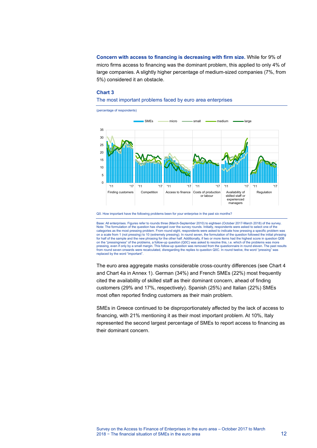**Concern with access to financing is decreasing with firm size.** While for 9% of micro firms access to financing was the dominant problem, this applied to only 4% of large companies. A slightly higher percentage of medium-sized companies (7%, from 5%) considered it an obstacle.

### <span id="page-12-0"></span>**Chart 3**

### The most important problems faced by euro area enterprises



Q0. How important have the following problems been for your enterprise in the past six months?

Base: All enterprises. Figures refer to rounds three (March-September 2010) to eighteen (October 2017-March 2018) of the survey. Note: The formulation of the question has changed over the survey rounds. Initially, respondents were asked to select one of the categories as the most pressing problem. From round eight, respondents were asked to indicate how pressing a specific problem was on a scale from 1 (not pressing) to 10 (extremely pressing). In round seven, the formulation of the question followed the initial phrasing for half of the sample and the new phrasing for the other half. Additionally, if two or more items had the highest score in question Q0B on the "pressingness" of the problems, a follow-up question (Q0C) was asked to resolve this, i.e. which of the problems was more pressing, even if only by a small margin. This follow-up question was removed from the questionnaire in round eleven. The past results<br>from round seven onwards were recalculated, disregarding the replies to question Q0C. I replaced by the word "important".

The euro area aggregate masks considerable cross-country differences (see [Chart 4](#page-13-0) and [Chart 4a](#page-38-1) in Annex 1). German (34%) and French SMEs (22%) most frequently cited the availability of skilled staff as their dominant concern, ahead of finding customers (29% and 17%, respectively). Spanish (25%) and Italian (22%) SMEs most often reported finding customers as their main problem.

SMEs in Greece continued to be disproportionately affected by the lack of access to financing, with 21% mentioning it as their most important problem. At 10%, Italy represented the second largest percentage of SMEs to report access to financing as their dominant concern.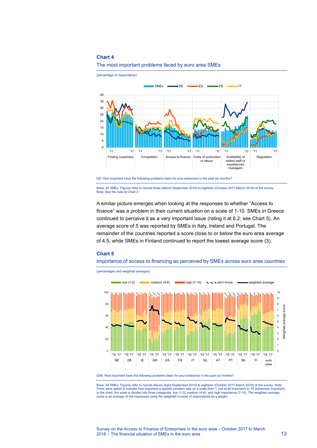

### <span id="page-13-0"></span>The most important problems faced by euro area SMEs

Base: All SMEs. Figures refer to rounds three (March-September 2010) to eighteen (October 2017-March 2018) of the survey. Note: See the note t[o Chart 3.](#page-12-0)

A similar picture emerges when looking at the responses to whether "Access to finance" was a problem in their current situation on a scale of 1-10. SMEs in Greece continued to perceive it as a very important issue (rating it at 6.2; see [Chart 5\)](#page-13-1). An average score of 5 was reported by SMEs in Italy, Ireland and Portugal. The remainder of the countries reported a score close to or below the euro area average of 4.5, while SMEs in Finland continued to report the lowest average score (3).

### <span id="page-13-1"></span>**Chart 5**

Importance of access to financing as perceived by SMEs across euro area countries



(percentages and weighted averages)

Q0b. How important have the following problems been for your enterprise in the past six months?

Base: All SMEs. Figures refer to rounds eleven (April-September 2014) to eighteen (October 2017-March 2018) of the survey. Note: Firms were asked to indicate how important a specific problem was on a scale from 1 (not at all important) to 10 (extremely important).<br>In the chart, the scale is divided into three categories: low (1-3); medium (4-6); and score is an average of the responses using the weighted number of respondents as a weight.

Q0. How important have the following problems been for your enterprise in the past six months?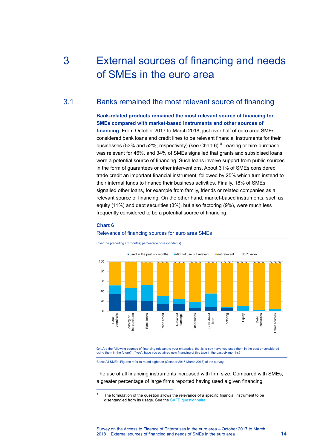# <span id="page-14-0"></span>3 External sources of financing and needs of SMEs in the euro area

# 3.1 Banks remained the most relevant source of financing

<span id="page-14-1"></span>**Bank-related products remained the most relevant source of financing for SMEs compared with market-based instruments and other sources of** 

**financing**. From October 2017 to March 2018, just over half of euro area SMEs considered bank loans and credit lines to be relevant financial instruments for their businesses (53% and 52%, respectively) (see [Chart 6\)](#page-14-2).<sup>[8](#page-14-3)</sup> Leasing or hire-purchase was relevant for 46%, and 34% of SMEs signalled that grants and subsidised loans were a potential source of financing. Such loans involve support from public sources in the form of guarantees or other interventions. About 31% of SMEs considered trade credit an important financial instrument, followed by 25% which turn instead to their internal funds to finance their business activities. Finally, 18% of SMEs signalled other loans, for example from family, friends or related companies as a relevant source of financing. On the other hand, market-based instruments, such as equity (11%) and debt securities (3%), but also factoring (9%), were much less frequently considered to be a potential source of financing.

### <span id="page-14-2"></span>**Chart 6**

<span id="page-14-3"></span> $\overline{a}$ 

#### Relevance of financing sources for euro area SMEs

(over the preceding six months; percentage of respondents)



Q4. Are the following sources of financing relevant to your enterprise, that is to say, have you used them in the past or considered using them in the future? If "yes", have you obtained new financing of this type in the past six months?

Base: All SMEs. Figures refer to round eighteen (October 2017-March 2018) of the survey.

The use of all financing instruments increased with firm size. Compared with SMEs, a greater percentage of large firms reported having used a given financing

The formulation of the question allows the relevance of a specific financial instrument to be disentangled from its usage. See th[e SAFE questionnaire.](http://www.ecb.europa.eu/stats/pdf/surveys/sme/SAFE_Questionnaire_2017H1.pdf)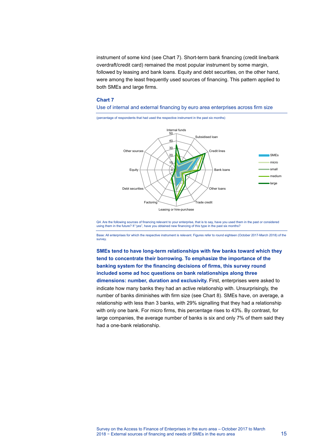instrument of some kind (see [Chart 7\)](#page-15-0). Short-term bank financing (credit line/bank overdraft/credit card) remained the most popular instrument by some margin, followed by leasing and bank loans. Equity and debt securities, on the other hand, were among the least frequently used sources of financing. This pattern applied to both SMEs and large firms.

Use of internal and external financing by euro area enterprises across firm size

### <span id="page-15-0"></span>**Chart 7**



Q4. Are the following sources of financing relevant to your enterprise, that is to say, have you used them in the past or considered<br>using them in the future? If "yes", have you obtained new financing of this type in the p

Base: All enterprises for which the respective instrument is relevant. Figures refer to round eighteen (October 2017-March 2018) of the survey.

**SMEs tend to have long-term relationships with few banks toward which they tend to concentrate their borrowing. To emphasize the importance of the banking system for the financing decisions of firms, this survey round included some ad hoc questions on bank relationships along three dimensions: number, duration and exclusivity.** First, enterprises were asked to indicate how many banks they had an active relationship with. Unsurprisingly, the number of banks diminishes with firm size (see [Chart 8\)](#page-16-0). SMEs have, on average, a relationship with less than 3 banks, with 29% signalling that they had a relationship with only one bank. For micro firms, this percentage rises to 43%. By contrast, for large companies, the average number of banks is six and only 7% of them said they had a one-bank relationship.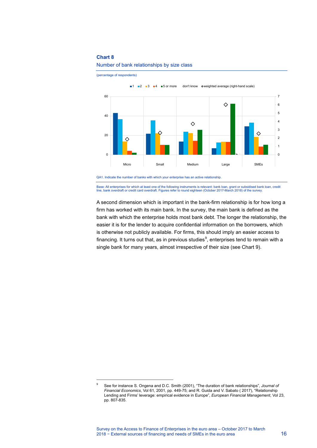$\overline{a}$ 



<span id="page-16-0"></span>Number of bank relationships by size class

(percentage of respondents)

QA1. Indicate the number of banks with which your enterprise has an active relationship.

Base: All enterprises for which at least one of the following instruments is relevant: bank loan, grant or subsidised bank loan, credit line, bank overdraft or credit card overdraft. Figures refer to round eighteen (October 2017-March 2018) of the survey.

A second dimension which is important in the bank-firm relationship is for how long a firm has worked with its main bank. In the survey, the main bank is defined as the bank with which the enterprise holds most bank debt. The longer the relationship, the easier it is for the lender to acquire confidential information on the borrowers, which is otherwise not publicly available. For firms, this should imply an easier access to financing. It turns out that, as in previous studies<sup>[9](#page-16-1)</sup>, enterprises tend to remain with a single bank for many years, almost irrespective of their size (see [Chart 9\)](#page-17-0).

<span id="page-16-1"></span><sup>9</sup> See for instance S. Ongena and D.C. Smith (2001), "The duration of bank relationships", *Journal of Financial Economics*, Vol 61, 2001, pp. 449-75; and R. Guida and V. Sabato ( 2017), "Relationship Lending and Firms' leverage: empirical evidence in Europe", *European Financial Management*, Vol 23, pp. 807-835.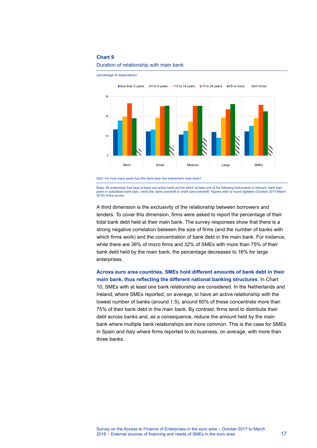

<span id="page-17-0"></span>Duration of relationship with main bank

(percentage of respondents)



Base: All enterprises that have at least one active bank and for which at least one of the following instruments is relevant: bank loan,<br>grant or subsidised bank loan, credit line, bank overdraft or credit card overdraft.

A third dimension is the exclusivity of the relationship between borrowers and lenders. To cover this dimension, firms were asked to report the percentage of their total bank debt held at their main bank. The survey responses show that there is a strong negative correlation between the size of firms (and the number of banks with which firms work) and the concentration of bank debt in the main bank. For instance, while there are 36% of micro firms and 32% of SMEs with more than 75% of their bank debt held by the main bank, the percentage decreases to 16% for large enterprises.

**Across euro area countries, SMEs hold different amounts of bank debt in their main bank, thus reflecting the different national banking structures**. In [Chart](#page-18-1)  [10,](#page-18-1) SMEs with at least one bank relationship are considered. In the Netherlands and Ireland, where SMEs reported, on average, to have an active relationship with the lowest number of banks (around 1.5), around 60% of these concentrate more than 75% of their bank debt in the main bank. By contrast, firms tend to distribute their debt across banks and, as a consequence, reduce the amount held by the main bank where multiple bank relationships are more common. This is the case for SMEs in Spain and Italy where firms reported to do business, on average, with more than three banks.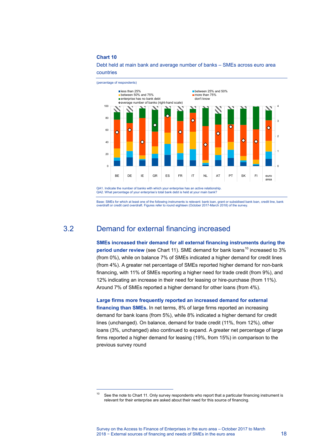$\overline{a}$ 



### <span id="page-18-1"></span>Debt held at main bank and average number of banks – SMEs across euro area countries

<span id="page-18-0"></span>Base: SMEs for which at least one of the following instruments is relevant: bank loan, grant or subsidised bank loan, credit line, bank overdraft or credit card overdraft. Figures refer to round eighteen (October 2017-March 2018) of the survey.

# 3.2 Demand for external financing increased

**SMEs increased their demand for all external financing instruments during the period under review** (see [Chart 11\)](#page-19-0). SME demand for bank loans<sup>[10](#page-18-2)</sup> increased to 3% (from 0%), while on balance 7% of SMEs indicated a higher demand for credit lines (from 4%). A greater net percentage of SMEs reported higher demand for non-bank financing, with 11% of SMEs reporting a higher need for trade credit (from 9%), and 12% indicating an increase in their need for leasing or hire-purchase (from 11%). Around 7% of SMEs reported a higher demand for other loans (from 4%).

**Large firms more frequently reported an increased demand for external financing than SMEs.** In net terms, 8% of large firms reported an increasing demand for bank loans (from 5%), while 8% indicated a higher demand for credit lines (unchanged). On balance, demand for trade credit (11%, from 12%), other loans (3%, unchanged) also continued to expand. A greater net percentage of large firms reported a higher demand for leasing (19%, from 15%) in comparison to the previous survey round

<span id="page-18-2"></span> $10$  See the note t[o Chart 1](#page-16-0)1. Only survey respondents who report that a particular financing instrument is relevant for their enterprise are asked about their need for this source of financing.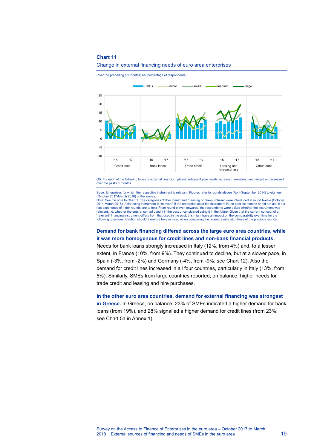<span id="page-19-0"></span>Change in external financing needs of euro area enterprises

(over the preceding six months; net percentage of respondents)



Q5. For each of the following types of external financing, please indicate if your needs increased, remained unchanged or decreased over the past six months.

Base: Enterprises for which the respective instrument is relevant. Figures refer to rounds eleven (April-September 2014) to eighteen (October 2017-March 2018) of the survey.

Note: See the note t[o Chart 1.](#page-6-2) The categories "Other loans" and "Leasing or hire-purchase" were introduced in round twelve (October 2014-March 2015). A financing instrument is "relevant" if the enterprise used the instrument in the past six months or did not use it but<br>has experience of it (for rounds one to ten). From round eleven onwards, the respond relevant, i.e. whether the enterprise had used it in the past or considered using it in the future. Given that the current concept of a "relevant" financing instrument differs from that used in the past, this might have an impact on the comparability over time for the following questions. Caution should therefore be exercised when comparing the recent results with those of the previous rounds.

### **Demand for bank financing differed across the large euro area countries, while it was more homogenous for credit lines and non-bank financial products.**

Needs for bank loans strongly increased in Italy (12%, from 4%) and, to a lesser extent, in France (10%, from 9%). They continued to decline, but at a slower pace, in Spain (-3%, from -2%) and Germany (-4%, from -9%; see [Chart 12\)](#page-20-1). Also the demand for credit lines increased in all four countries, particularly in Italy (13%, from 5%). Similarly, SMEs from large countries reported, on balance, higher needs for trade credit and leasing and hire purchases.

## **In the other euro area countries, demand for external financing was strongest**

**in Greece.** In Greece, on balance, 23% of SMEs indicated a higher demand for bank loans (from 19%), and 28% signalled a higher demand for credit lines (from 23%; see [Chart 5a](#page-39-0) in Annex 1).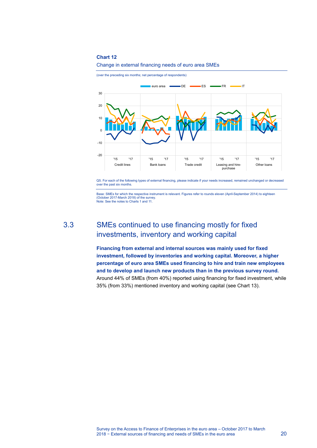<span id="page-20-1"></span>

(over the preceding six months; net percentage of respondents)



Q5. For each of the following types of external financing, please indicate if your needs increased, remained unchanged or decreased over the past six months.

<span id="page-20-0"></span>Base: SMEs for which the respective instrument is relevant. Figures refer to rounds eleven (April-September 2014) to eighteen (October 2017-March 2018) of the survey. Note: See the notes t[o Charts 1](#page-6-2) an[d 11.](#page-16-0)

3.3 SMEs continued to use financing mostly for fixed investments, inventory and working capital

> **Financing from external and internal sources was mainly used for fixed investment, followed by inventories and working capital. Moreover, a higher percentage of euro area SMEs used financing to hire and train new employees and to develop and launch new products than in the previous survey round.** Around 44% of SMEs (from 40%) reported using financing for fixed investment, while 35% (from 33%) mentioned inventory and working capital (see [Chart 13\)](#page-21-0).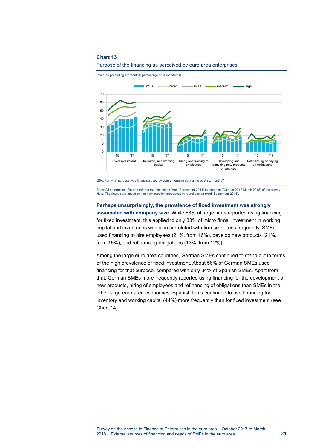

<span id="page-21-0"></span>

(over the preceding six months; percentage of respondents)

Base: All enterprises. Figures refer to rounds eleven (April-September 2014) to eighteen (October 2017-March 2018) of the survey. Note: The figures are based on the new question introduced in round eleven (April-September 2014).

#### **Perhaps unsurprisingly, the prevalence of fixed investment was strongly**

**associated with company size**. While 63% of large firms reported using financing for fixed investment, this applied to only 33% of micro firms. Investment in working capital and inventories was also correlated with firm size. Less frequently, SMEs used financing to hire employees (21%, from 16%), develop new products (21%, from 15%), and refinancing obligations (13%, from 12%).

Among the large euro area countries, German SMEs continued to stand out in terms of the high prevalence of fixed investment. About 56% of German SMEs used financing for that purpose, compared with only 34% of Spanish SMEs. Apart from that, German SMEs more frequently reported using financing for the development of new products, hiring of employees and refinancing of obligations than SMEs in the other large euro area economies. Spanish firms continued to use financing for inventory and working capital (44%) more frequently than for fixed investment (see [Chart 14\)](#page-22-0).

Q6A. For what purpose was financing used by your enterprise during the past six months?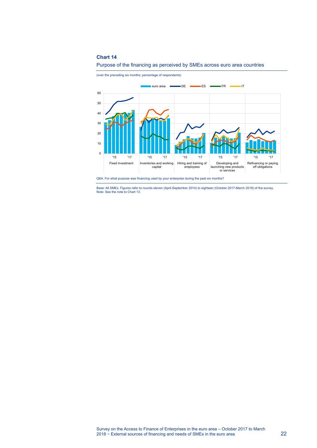

<span id="page-22-0"></span>

(over the preceding six months; percentage of respondents)



Base: All SMEs. Figures refer to rounds eleven (April-September 2014) to eighteen (October 2017-March 2018) of the survey. Note: See the note t[o Chart 13.](#page-21-0)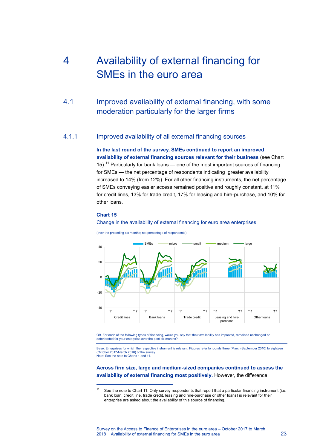# <span id="page-23-0"></span>4 Availability of external financing for SMEs in the euro area

<span id="page-23-1"></span>4.1 Improved availability of external financing, with some moderation particularly for the larger firms

## 4.1.1 Improved availability of all external financing sources

**In the last round of the survey, SMEs continued to report an improved availability of external financing sources relevant for their business** (see [Chart](#page-23-2)  [15\)](#page-23-2).<sup>[11](#page-23-3)</sup> Particularly for bank loans — one of the most important sources of financing for SMEs — the net percentage of respondents indicating greater availability increased to 14% (from 12%). For all other financing instruments, the net percentage of SMEs conveying easier access remained positive and roughly constant, at 11% for credit lines, 13% for trade credit, 17% for leasing and hire-purchase, and 10% for other loans.

### <span id="page-23-2"></span>**Chart 15**

 $\overline{a}$ 

#### Change in the availability of external financing for euro area enterprises



(over the preceding six months; net percentage of respondents)

Q9. For each of the following types of financing, would you say that their availability has improved, remained unchanged or deteriorated for your enterprise over the past six months?

Base: Enterprises for which the respective instrument is relevant. Figures refer to rounds three (March-September 2010) to eighteen (October 2017-March 2018) of the survey. Note: See the note t[o Charts 1](#page-6-2) an[d 11.](#page-16-0)

### **Across firm size, large and medium-sized companies continued to assess the availability of external financing most positively.** However, the difference

<span id="page-23-3"></span><sup>&</sup>lt;sup>11</sup> See the note to [Chart 11.](#page-19-0) Only survey respondents that report that a particular financing instrument (i.e. bank loan, credit line, trade credit, leasing and hire-purchase or other loans) is relevant for their enterprise are asked about the availability of this source of financing.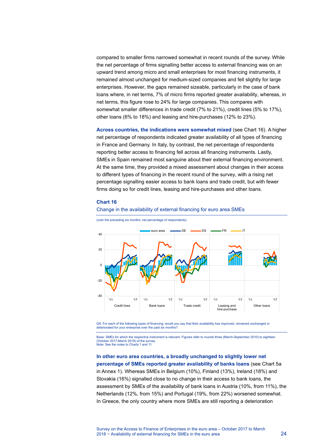compared to smaller firms narrowed somewhat in recent rounds of the survey. While the net percentage of firms signalling better access to external financing was on an upward trend among micro and small enterprises for most financing instruments, it remained almost unchanged for medium-sized companies and fell slightly for large enterprises. However, the gaps remained sizeable, particularly in the case of bank loans where, in net terms, 7% of micro firms reported greater availability, whereas, in net terms, this figure rose to 24% for large companies. This compares with somewhat smaller differences in trade credit (7% to 21%), credit lines (5% to 17%), other loans (6% to 18%) and leasing and hire-purchases (12% to 23%).

**Across countries, the indications were somewhat mixed** (see [Chart 16\)](#page-24-0). A higher net percentage of respondents indicated greater availability of all types of financing in France and Germany. In Italy, by contrast, the net percentage of respondents reporting better access to financing fell across all financing instruments. Lastly, SMEs in Spain remained most sanguine about their external financing environment. At the same time, they provided a mixed assessment about changes in their access to different types of financing in the recent round of the survey, with a rising net percentage signalling easier access to bank loans and trade credit, but with fewer firms doing so for credit lines, leasing and hire-purchases and other loans.

### <span id="page-24-0"></span>**Chart 16**

#### Change in the availability of external financing for euro area SMEs



(over the preceding six months; net percentage of respondents)

Q9. For each of the following types of financing, would you say that their availability has improved, remained unchanged or deteriorated for your enterprise over the past six months?

Base: SMEs for which the respective instrument is relevant. Figures refer to rounds three (March-September 2010) to eighteen (October 2017-March 2018) of the survey. Note: See the notes t[o Charts 1](#page-6-2) an[d 11.](#page-16-0)

**In other euro area countries, a broadly unchanged to slightly lower net percentage of SMEs reported greater availability of banks loans** (see [Chart 5a](#page-39-0) in Annex 1). Whereas SMEs in Belgium (10%), Finland (13%), Ireland (18%) and Slovakia (16%) signalled close to no change in their access to bank loans, the assessment by SMEs of the availability of bank loans in Austria (10%, from 11%), the Netherlands (12%, from 15%) and Portugal (19%, from 22%) worsened somewhat. In Greece, the only country where more SMEs are still reporting a deterioration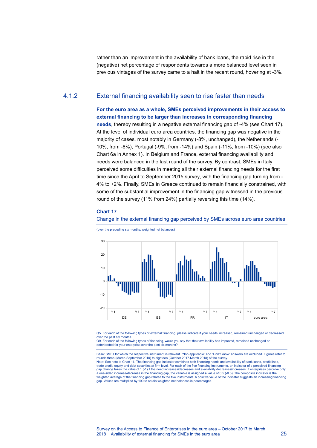rather than an improvement in the availability of bank loans, the rapid rise in the (negative) net percentage of respondents towards a more balanced level seen in previous vintages of the survey came to a halt in the recent round, hovering at -3%.

## 4.1.2 External financing availability seen to rise faster than needs

**For the euro area as a whole, SMEs perceived improvements in their access to external financing to be larger than increases in corresponding financing** 

**needs**, thereby resulting in a negative external financing gap of -4% (see [Chart 17\)](#page-25-0). At the level of individual euro area countries, the financing gap was negative in the majority of cases, most notably in Germany (-8%, unchanged), the Netherlands (- 10%, from -8%), Portugal (-9%, from -14%) and Spain (-11%, from -10%) (see also [Chart 6a](#page-39-1) in Annex 1). In Belgium and France, external financing availability and needs were balanced in the last round of the survey. By contrast, SMEs in Italy perceived some difficulties in meeting all their external financing needs for the first time since the April to September 2015 survey, with the financing gap turning from - 4% to +2%. Finally, SMEs in Greece continued to remain financially constrained, with some of the substantial improvement in the financing gap witnessed in the previous round of the survey (11% from 24%) partially reversing this time (14%).

### <span id="page-25-0"></span>**Chart 17**

Change in the external financing gap perceived by SMEs across euro area countries



(over the preceding six months; weighted net balances)

Q5. For each of the following types of external financing, please indicate if your needs increased, remained unchanged or decreased

over the past six months. Q9. For each of the following types of financing, would you say that their availability has improved, remained unchanged or deteriorated for your enterprise over the past six months?

Base: SMEs for which the respective instrument is relevant. "Non-applicable" and "Don't know" answers are excluded. Figures refer to rounds three (March-September 2010) to eighteen (October 2017-March 2018) of the survey. Note: See note to [Chart 11.](#page-19-0) The financing gap indicator combines both financing needs and availability of bank loans, credit lines,<br>trade credit, equity and debt securities at firm level. For each of the five financing ins gap change takes the value of 1 (-1) if the need increases/decreases and availability decreases/increases. If enterprises perceive only a one-sided increase/decrease in the financing gap, the variable is assigned a value of 0.5 (-0.5). The composite indicator is the weighted average of the financing gap related to the five instruments. A positive value of the indicator suggests an increasing financing<br>gap. Values are multiplied by 100 to obtain weighted net balances in percentages.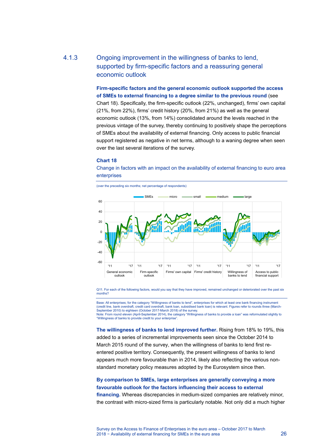# 4.1.3 Ongoing improvement in the willingness of banks to lend, supported by firm-specific factors and a reassuring general economic outlook

**Firm-specific factors and the general economic outlook supported the access of SMEs to external financing to a degree similar to the previous round** (see [Chart 18\)](#page-26-0). Specifically, the firm-specific outlook (22%, unchanged), firms' own capital (21%, from 22%), firms' credit history (20%, from 21%) as well as the general economic outlook (13%, from 14%) consolidated around the levels reached in the previous vintage of the survey, thereby continuing to positively shape the perceptions of SMEs about the availability of external financing. Only access to public financial support registered as negative in net terms, although to a waning degree when seen over the last several iterations of the survey.

### <span id="page-26-0"></span>**Chart 18**

(over the preceding six months; net percentage of respondents)

Change in factors with an impact on the availability of external financing to euro area enterprises



Q11. For each of the following factors, would you say that they have improved, remained unchanged or deteriorated over the past six months?

Base: All enterprises; for the category "Willingness of banks to lend", enterprises for which at least one bank financing instrument (credit line, bank overdraft, credit card overdraft, bank loan, subsidised bank loan) is relevant. Figures refer to rounds three (March-September 2010) to eighteen (October 2017-March 2018) of the survey. Note: From round eleven (April-September 2014), the category "Willingness of banks to provide a loan" was reformulated slightly to

"Willingness of banks to provide credit to your enterprise".

**The willingness of banks to lend improved further.** Rising from 18% to 19%, this added to a series of incremental improvements seen since the October 2014 to March 2015 round of the survey, when the willingness of banks to lend first reentered positive territory. Consequently, the present willingness of banks to lend appears much more favourable than in 2014, likely also reflecting the various nonstandard monetary policy measures adopted by the Eurosystem since then.

## **By comparison to SMEs, large enterprises are generally conveying a more favourable outlook for the factors influencing their access to external**

**financing.** Whereas discrepancies in medium-sized companies are relatively minor, the contrast with micro-sized firms is particularly notable. Not only did a much higher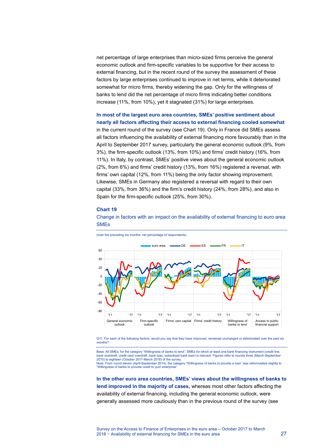net percentage of large enterprises than micro-sized firms perceive the general economic outlook and firm-specific variables to be supportive for their access to external financing, but in the recent round of the survey the assessment of these factors by large enterprises continued to improve in net terms, while it deteriorated somewhat for micro firms, thereby widening the gap. Only for the willingness of banks to lend did the net percentage of micro firms indicating better conditions increase (11%, from 10%), yet it stagnated (31%) for large enterprises.

## **In most of the largest euro area countries, SMEs' positive sentiment about nearly all factors affecting their access to external financing cooled somewhat**

in the current round of the survey (see [Chart 19\)](#page-27-0). Only in France did SMEs assess all factors influencing the availability of external financing more favourably than in the April to September 2017 survey, particularly the general economic outlook (9%, from 3%), the firm-specific outlook (13%, from 10%) and firms' credit history (16%, from 11%). In Italy, by contrast, SMEs' positive views about the general economic outlook (2%, from 6%) and firms' credit history (13%, from 16%) registered a reversal, with firms' own capital (12%, from 11%) being the only factor showing improvement. Likewise, SMEs in Germany also registered a reversal with regard to their own capital (33%, from 36%) and the firm's credit history (24%, from 28%), and also in Spain for the firm-specific outlook (25%, from 30%).

### <span id="page-27-0"></span>**Chart 19**







Q11. For each of the following factors, would you say that they have improved, remained unchanged or deteriorated over the past six months?

Base: All SMEs; for the category "Willingness of banks to lend", SMEs for which at least one bank financing instrument (credit line, bank overdraft, credit card overdraft, bank loan, subsidised bank loan) is relevant. Figures refer to rounds three (March-September 2010) to eighteen (October 2017-March 2018) of the survey. Note: From round eleven (April-September 2014), the category "Willingness of banks to provide a loan" was reformulated slightly to "Willingness of banks to provide credit to your enterprise".

**In the other euro area countries, SMEs' views about the willingness of banks to lend improved in the majority of cases,** whereas most other factors affecting the availability of external financing, including the general economic outlook, were generally assessed more cautiously than in the previous round of the survey (see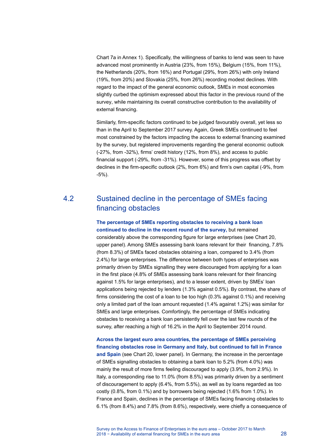[Chart 7a](#page-40-0) in Annex 1). Specifically, the willingness of banks to lend was seen to have advanced most prominently in Austria (23%, from 15%), Belgium (15%, from 11%), the Netherlands (20%, from 16%) and Portugal (29%, from 26%) with only Ireland (19%, from 20%) and Slovakia (25%, from 26%) recording modest declines. With regard to the impact of the general economic outlook, SMEs in most economies slightly curbed the optimism expressed about this factor in the previous round of the survey, while maintaining its overall constructive contribution to the availability of external financing.

Similarly, firm-specific factors continued to be judged favourably overall, yet less so than in the April to September 2017 survey. Again, Greek SMEs continued to feel most constrained by the factors impacting the access to external financing examined by the survey, but registered improvements regarding the general economic outlook (-27%, from -32%), firms' credit history (12%, from 8%), and access to public financial support (-29%, from -31%). However, some of this progress was offset by declines in the firm-specific outlook (2%, from 6%) and firm's own capital (-9%, from -5%).

# <span id="page-28-0"></span>4.2 Sustained decline in the percentage of SMEs facing financing obstacles

## **The percentage of SMEs reporting obstacles to receiving a bank loan continued to decline in the recent round of the survey,** but remained

considerably above the corresponding figure for large enterprises (see [Chart 20,](#page-29-0) upper panel). Among SMEs assessing bank loans relevant for their financing, 7.8% (from 8.3%) of SMEs faced obstacles obtaining a loan, compared to 3.4% (from 2.4%) for large enterprises. The difference between both types of enterprises was primarily driven by SMEs signalling they were discouraged from applying for a loan in the first place (4.8% of SMEs assessing bank loans relevant for their financing against 1.5% for large enterprises), and to a lesser extent, driven by SMEs' loan applications being rejected by lenders (1.3% against 0.5%). By contrast, the share of firms considering the cost of a loan to be too high (0.3% against 0.1%) and receiving only a limited part of the loan amount requested (1.4% against 1.2%) was similar for SMEs and large enterprises. Comfortingly, the percentage of SMEs indicating obstacles to receiving a bank loan persistently fell over the last few rounds of the survey, after reaching a high of 16.2% in the April to September 2014 round.

**Across the largest euro area countries, the percentage of SMEs perceiving financing obstacles rose in Germany and Italy, but continued to fall in France and Spain** (see [Chart 20,](#page-29-0) lower panel). In Germany, the increase in the percentage of SMEs signalling obstacles to obtaining a bank loan to 5.2% (from 4.0%) was mainly the result of more firms feeling discouraged to apply (3.9%, from 2.9%). In Italy, a corresponding rise to 11.0% (from 8.5%) was primarily driven by a sentiment of discouragement to apply (6.4%, from 5.5%), as well as by loans regarded as too costly (0.8%, from 0.1%) and by borrowers being rejected (1.6% from 1.0%). In France and Spain, declines in the percentage of SMEs facing financing obstacles to 6.1% (from 8.4%) and 7.8% (from 8.6%), respectively, were chiefly a consequence of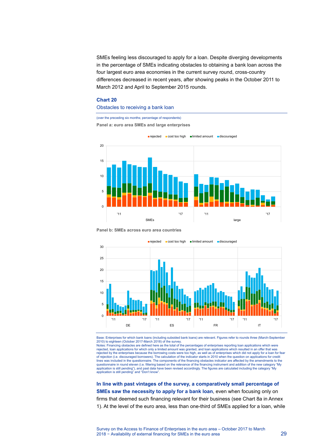SMEs feeling less discouraged to apply for a loan. Despite diverging developments in the percentage of SMEs indicating obstacles to obtaining a bank loan across the four largest euro area economies in the current survey round, cross-country differences decreased in recent years, after showing peaks in the October 2011 to March 2012 and April to September 2015 rounds.

#### <span id="page-29-0"></span>**Chart 20**

### Obstacles to receiving a bank loan

(over the preceding six months; percentage of respondents)

**Panel a: euro area SMEs and large enterprises** 



**Panel b: SMEs across euro area countries**



Base: Enterprises for which bank loans (including subsided bank loans) are relevant. Figures refer to rounds three (March-September 2010) to eighteen (October 2017-March 2018) of the survey.

Notes: Financing obstacles are defined here as the total of the percentages of enterprises reporting loan applications which were rejected, loan applications for which only a limited amount was granted, and loan applications which resulted in an offer that was rejected by the enterprises because the borrowing costs were too high, as well as of enterprises which did not apply for a loan for fear<br>of rejection (i.e. discouraged borrowers). The calculation of the indicator starts in lines was included in the questionnaire. The components of the financing obstacles indicator are affected by the amendments to the questionnaire in round eleven (i.e. filtering based on the relevance of the financing instrument and addition of the new category "My application is still pending"), and past data have been revised accordingly. The figures are calculated including the category "My application is still pending" and "Don't know".

**In line with past vintages of the survey, a comparatively small percentage of SMEs saw the necessity to apply for a bank loan**, even when focusing only on firms that deemed such financing relevant for their business (see [Chart 8a](#page-40-1) in Annex 1). At the level of the euro area, less than one-third of SMEs applied for a loan, while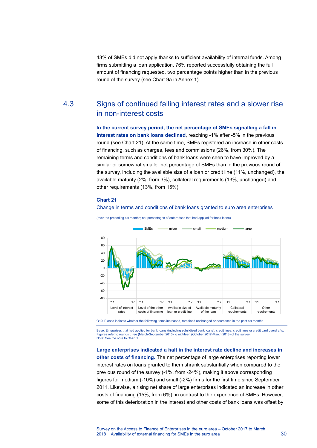<span id="page-30-0"></span>43% of SMEs did not apply thanks to sufficient availability of internal funds. Among firms submitting a loan application, 76% reported successfully obtaining the full amount of financing requested, two percentage points higher than in the previous round of the survey (see [Chart 9a](#page-41-0) in Annex 1).

# 4.3 Signs of continued falling interest rates and a slower rise in non-interest costs

**In the current survey period, the net percentage of SMEs signalling a fall in interest rates on bank loans declined**, reaching -1% after -5% in the previous round (see [Chart 21\).](#page-30-1) At the same time, SMEs registered an increase in other costs of financing, such as charges, fees and commissions (26%, from 30%). The remaining terms and conditions of bank loans were seen to have improved by a similar or somewhat smaller net percentage of SMEs than in the previous round of the survey, including the available size of a loan or credit line (11%, unchanged), the available maturity (2%, from 3%), collateral requirements (13%, unchanged) and other requirements (13%, from 15%).

Change in terms and conditions of bank loans granted to euro area enterprises

### <span id="page-30-1"></span>**Chart 21**



(over the preceding six months; net percentages of enterprises that had applied for bank loans)

Q10. Please indicate whether the following items increased, remained unchanged or decreased in the past six months.

Base: Enterprises that had applied for bank loans (including subsidised bank loans), credit lines, credit lines or credit card overdrafts. Figures refer to rounds three (March-September 2010) to eighteen (October 2017-March 2018) of the survey. Note: See the note t[o Chart 1.](#page-6-2)

**Large enterprises indicated a halt in the interest rate decline and increases in other costs of financing.** The net percentage of large enterprises reporting lower interest rates on loans granted to them shrank substantially when compared to the previous round of the survey (-1%, from -24%), making it above corresponding figures for medium (-10%) and small (-2%) firms for the first time since September 2011. Likewise, a rising net share of large enterprises indicated an increase in other costs of financing (15%, from 6%), in contrast to the experience of SMEs. However, some of this deterioration in the interest and other costs of bank loans was offset by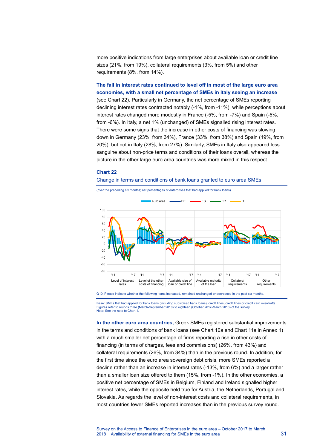more positive indications from large enterprises about available loan or credit line sizes (21%, from 19%), collateral requirements (3%, from 5%) and other requirements (8%, from 14%).

**The fall in interest rates continued to level off in most of the large euro area economies, with a small net percentage of SMEs in Italy seeing an increase** (see [Chart 22\)](#page-31-0). Particularly in Germany, the net percentage of SMEs reporting declining interest rates contracted notably (-1%, from -11%), while perceptions about interest rates changed more modestly in France (-5%, from -7%) and Spain (-5%, from -6%). In Italy, a net 1% (unchanged) of SMEs signalled rising interest rates. There were some signs that the increase in other costs of financing was slowing down in Germany (23%, from 34%), France (33%, from 38%) and Spain (19%, from 20%), but not in Italy (28%, from 27%). Similarly, SMEs in Italy also appeared less sanguine about non-price terms and conditions of their loans overall, whereas the picture in the other large euro area countries was more mixed in this respect.

### <span id="page-31-0"></span>**Chart 22**

#### Change in terms and conditions of bank loans granted to euro area SMEs



(over the preceding six months; net percentages of enterprises that had applied for bank loans)

Q10. Please indicate whether the following items increased, remained unchanged or decreased in the past six months.

Base: SMEs that had applied for bank loans (including subsidised bank loans), credit lines, credit lines or credit card overdrafts. Figures refer to rounds three (March-September 2010) to eighteen (October 2017-March 2018) of the survey. Note: See the note t[o Chart 1.](#page-6-2)

**In the other euro area countries,** Greek SMEs registered substantial improvements in the terms and conditions of bank loans (see [Chart 10a](#page-41-1) an[d Chart 11a](#page-42-0) in Annex 1) with a much smaller net percentage of firms reporting a rise in other costs of financing (in terms of charges, fees and commissions) (26%, from 43%) and collateral requirements (26%, from 34%) than in the previous round. In addition, for the first time since the euro area sovereign debt crisis, more SMEs reported a decline rather than an increase in interest rates (-13%, from 6%) and a larger rather than a smaller loan size offered to them (15%, from -1%). In the other economies, a positive net percentage of SMEs in Belgium, Finland and Ireland signalled higher interest rates, while the opposite held true for Austria, the Netherlands, Portugal and Slovakia. As regards the level of non-interest costs and collateral requirements, in most countries fewer SMEs reported increases than in the previous survey round.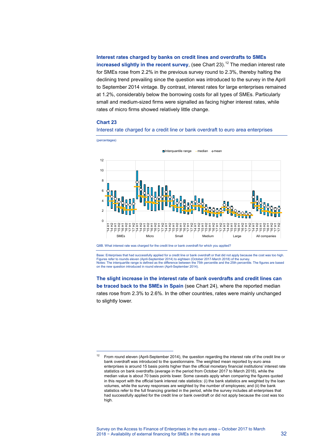### **Interest rates charged by banks on credit lines and overdrafts to SMEs**

**increased slightly in the recent survey**, (see [Chart 23\)](#page-32-0).<sup>[12](#page-32-1)</sup> The median interest rate for SMEs rose from 2.2% in the previous survey round to 2.3%, thereby halting the declining trend prevailing since the question was introduced to the survey in the April to September 2014 vintage. By contrast, interest rates for large enterprises remained at 1.2%, considerably below the borrowing costs for all types of SMEs. Particularly small and medium-sized firms were signalled as facing higher interest rates, while rates of micro firms showed relatively little change.

#### <span id="page-32-0"></span>**Chart 23**

 $\overline{a}$ 



Interest rate charged for a credit line or bank overdraft to euro area enterprises

Q8B. What interest rate was charged for the credit line or bank overdraft for which you applied?

Base: Enterprises that had successfully applied for a credit line or bank overdraft or that did not apply because the cost was too high. Figures refer to rounds eleven (April-September 2014) to eighteen (October 2017-March 2018) of the survey. Notes: The interquartile range is defined as the difference between the 75th percentile and the 25th percentile. The figures are based on the new question introduced in round eleven (April-September 2014).

## **The slight increase in the interest rate of bank overdrafts and credit lines can be traced back to the SMEs in Spain** (see [Chart 24\)](#page-33-0), where the reported median rates rose from 2.3% to 2.6%. In the other countries, rates were mainly unchanged to slightly lower.

<span id="page-32-1"></span><sup>&</sup>lt;sup>12</sup> From round eleven (April-September 2014), the question regarding the interest rate of the credit line or bank overdraft was introduced to the questionnaire. The weighted mean reported by euro area enterprises is around 15 basis points higher than the official monetary financial institutions' interest rate statistics on bank overdrafts (average in the period from October 2017 to March 2018), while the median value is about 70 basis points lower. Some caveats apply when comparing the figures quoted in this report with the official bank interest rate statistics: (i) the bank statistics are weighted by the loan volumes, while the survey responses are weighted by the number of employees; and (ii) the bank statistics refer to the full financing granted in the period, while the survey includes all enterprises that had successfully applied for the credit line or bank overdraft or did not apply because the cost was too high.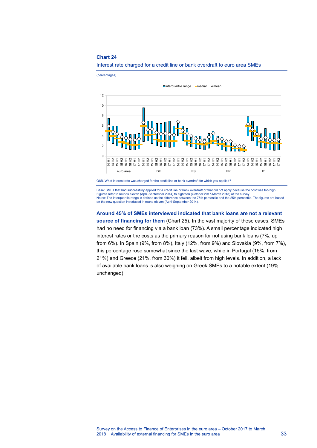

<span id="page-33-0"></span>Interest rate charged for a credit line or bank overdraft to euro area SMEs

Base: SMEs that had successfully applied for a credit line or bank overdraft or that did not apply because the cost was too high.<br>Figures refer to rounds eleven (April-September 2014) to eighteen (October 2017-March 2018) Notes: The interquartile range is defined as the difference between the 75th percentile and the 25th percentile. The figures are based on the new question introduced in round eleven (April-September 2014).

**Around 45% of SMEs interviewed indicated that bank loans are not a relevant source of financing for them** [\(Chart 25\)](#page-34-0). In the vast majority of these cases, SMEs had no need for financing via a bank loan (73%). A small percentage indicated high interest rates or the costs as the primary reason for not using bank loans (7%, up from 6%). In Spain (9%, from 8%), Italy (12%, from 9%) and Slovakia (9%, from 7%), this percentage rose somewhat since the last wave, while in Portugal (15%, from 21%) and Greece (21%, from 30%) it fell, albeit from high levels. In addition, a lack of available bank loans is also weighing on Greek SMEs to a notable extent (19%, unchanged).

Q8B. What interest rate was charged for the credit line or bank overdraft for which you applied?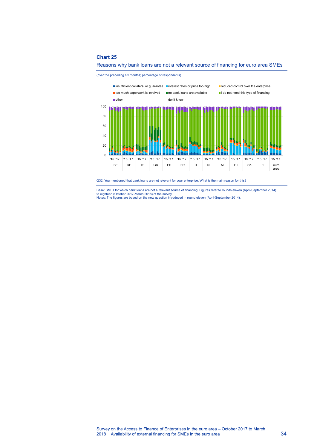

<span id="page-34-0"></span>

(over the preceding six months; percentage of respondents)

Q32. You mentioned that bank loans are not relevant for your enterprise. What is the main reason for this?

Base: SMEs for which bank loans are not a relevant source of financing. Figures refer to rounds eleven (April-September 2014) to eighteen (October 2017-March 2018) of the survey. Notes: The figures are based on the new question introduced in round eleven (April-September 2014).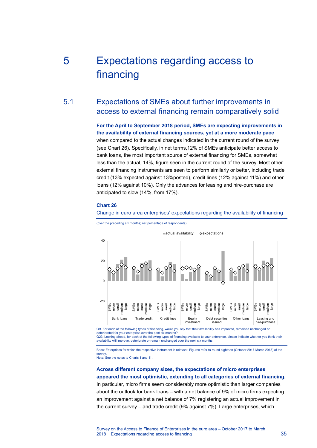# <span id="page-35-0"></span>5 Expectations regarding access to financing

# 5.1 Expectations of SMEs about further improvements in access to external financing remain comparatively solid

<span id="page-35-1"></span>**For the April to September 2018 period, SMEs are expecting improvements in the availability of external financing sources, yet at a more moderate pace**  when compared to the actual changes indicated in the current round of the survey (see [Chart 26\)](#page-35-2). Specifically, in net terms,12% of SMEs anticipate better access to bank loans, the most important source of external financing for SMEs, somewhat less than the actual, 14%, figure seen in the current round of the survey. Most other external financing instruments are seen to perform similarly or better, including trade credit (13% expected against 13%posted), credit lines (12% against 11%) and other loans (12% against 10%). Only the advances for leasing and hire-purchase are anticipated to slow (14%, from 17%).

### <span id="page-35-2"></span>**Chart 26**

#### Change in euro area enterprises' expectations regarding the availability of financing

(over the preceding six months; net percentage of respondents)



Q9. For each of the following types of financing, would you say that their availability has improved, remained unchanged or deteriorated for your enterprise over the past six months Q23. Looking ahead, for each of the following types of financing available to your enterprise, please indicate whether you think their availability will improve, deteriorate or remain unchanged over the next six months.

Base: Enterprises for which the respective instrument is relevant. Figures refer to round eighteen (October 2017-March 2018) of the

survey. Note: See the notes t[o Charts 1](#page-6-2) an[d 11.](#page-16-0)

### **Across different company sizes, the expectations of micro enterprises appeared the most optimistic, extending to all categories of external financing.**

In particular, micro firms seem considerably more optimistic than larger companies about the outlook for bank loans – with a net balance of 9% of micro firms expecting an improvement against a net balance of 7% registering an actual improvement in the current survey – and trade credit (9% against 7%). Large enterprises, which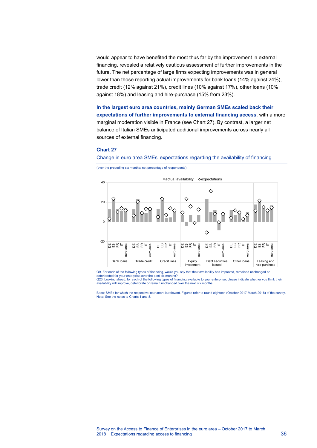would appear to have benefited the most thus far by the improvement in external financing, revealed a relatively cautious assessment of further improvements in the future. The net percentage of large firms expecting improvements was in general lower than those reporting actual improvements for bank loans (14% against 24%), trade credit (12% against 21%), credit lines (10% against 17%), other loans (10% against 18%) and leasing and hire-purchase (15% from 23%).

**In the largest euro area countries, mainly German SMEs scaled back their expectations of further improvements to external financing access**, with a more marginal moderation visible in France (see [Chart 27\)](#page-36-0). By contrast, a larger net balance of Italian SMEs anticipated additional improvements across nearly all sources of external financing.

### <span id="page-36-0"></span>**Chart 27**

Change in euro area SMEs' expectations regarding the availability of financing





Q9. For each of the following types of financing, would you say that their availability has improved, remained unchanged or deteriorated for your enterprise over the past six months? Q23. Looking ahead, for each of the following types of financing available to your enterprise, please indicate whether you think their availability will improve, deteriorate or remain unchanged over the next six months.

Base: SMEs for which the respective instrument is relevant. Figures refer to round eighteen (October 2017-March 2018) of the survey. Note: See the notes t[o Charts 1](#page-6-2) an[d 8.](#page-16-0)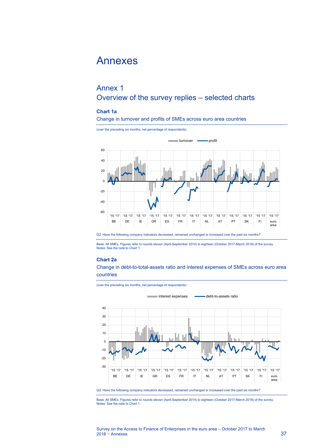# <span id="page-37-0"></span>Annexes

# <span id="page-37-1"></span>Annex 1 Overview of the survey replies – selected charts

## <span id="page-37-2"></span>**Chart 1a**

### Change in turnover and profits of SMEs across euro area countries



Base: All SMEs. Figures refer to rounds eleven (April-September 2014) to eighteen (October 2017-March 2018) of the survey. Notes: See the note t[o Chart 1.](#page-6-2) 

### <span id="page-37-3"></span>**Chart 2a**

Change in debt-to-total-assets ratio and interest expenses of SMEs across euro area countries

(over the preceding six months; net percentage of respondents)



Q2. Have the following company indicators decreased, remained unchanged or increased over the past six months?

Base: All SMEs. Figures refer to rounds eleven (April-September 2014) to eighteen (October 2017-March 2018) of the survey. Notes: See the note t[o Chart 1.](#page-6-2)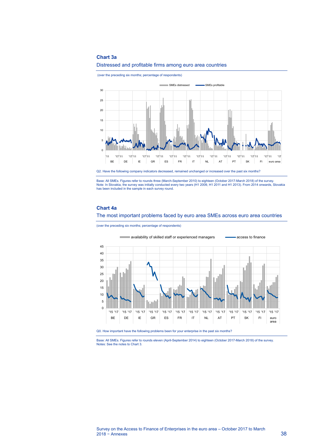### <span id="page-38-0"></span>**Chart 3a**



(over the preceding six months; percentage of respondents)



Q2. Have the following company indicators decreased, remained unchanged or increased over the past six months?

Base: All SMEs. Figures refer to rounds three (March-September 2010) to eighteen (October 2017-March 2018) of the survey.<br>Note: In Slovakia, the survey was initially conducted every two years (H1 2009, H1 2011 and H1 2013)

### <span id="page-38-1"></span>**Chart 4a**

The most important problems faced by euro area SMEs across euro area countries

(over the preceding six months; percentage of respondents)



Q0. How important have the following problems been for your enterprise in the past six months?

Base: All SMEs. Figures refer to rounds eleven (April-September 2014) to eighteen (October 2017-March 2018) of the survey. Notes: See the notes t[o Chart 3.](#page-12-0)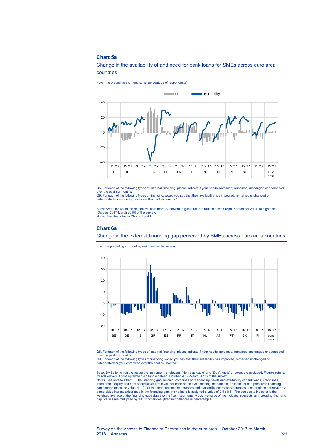### <span id="page-39-0"></span>**Chart 5a**

Change in the availability of and need for bank loans for SMEs across euro area countries

(over the preceding six months; net percentage of respondents)



Q5. For each of the following types of external financing, please indicate if your needs increased, remained unchanged or decreased over the past six months. Q9. For each of the following types of financing, would you say that their availability has improved, remained unchanged or

deteriorated for your enterprise over the past six months?

Base: SMEs for which the respective instrument is relevant. Figures refer to rounds eleven (April-September 2014) to eighteen (October 2017-March 2018) of the survey. Notes: See the notes t[o Charts 1](#page-6-2) an[d 8](#page-16-0)

#### <span id="page-39-1"></span>**Chart 6a**

Change in the external financing gap perceived by SMEs across euro area countries

(over the preceding six months; weighted net balances)



Q5. For each of the following types of external financing, please indicate if your needs increased, remained unchanged or decreased over the past six months.

Q9. For each of the following types of financing, would you say that their availability has improved, remained unchanged or deteriorated for your enterprise over the past six months?

Base: SMEs for which the respective instrument is relevant. "Non-applicable" and "Don't know" answers are excluded. Figures refer to<br>rounds eleven (April-September 2014) to eighteen (October 2017-March 2018) of the survey. Notes: See note t[o Chart 8.](#page-16-0) The financing gap indicator combines both financing needs and availability of bank loans, credit lines,<br>trade credit, equity and debt securities at firm level. For each of the five financing ins gap change takes the value of 1 (-1) if the need increases/decreases and availability decreases/increases. If enterprises perceive only a one-sided increase/decrease in the financing gap, the variable is assigned a value of 0.5 (-0.5). The composite indicator is the<br>weighted average of the financing gap related to the five instruments. A positive value of gap. Values are multiplied by 100 to obtain weighted net balances in percentages.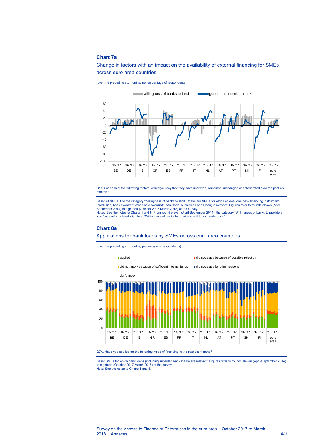### <span id="page-40-0"></span>**Chart 7a**

Change in factors with an impact on the availability of external financing for SMEs across euro area countries



Q11. For each of the following factors, would you say that they have improved, remained unchanged or deteriorated over the past six months?

Base: All SMEs. For the category "Willingness of banks to lend", these are SMEs for which at least one bank financing instrument (credit line, bank overdraft, credit card overdraft, bank loan, subsidised bank loan) is relevant. Figures refer to rounds eleven (April-September 2014) to eighteen (October 2017-March 2018) of the survey. Notes: See the notes t[o Charts 1](#page-6-2) an[d 8.](#page-16-0) From round eleven (April-September 2014), the category "Willingness of banks to provide a loan" was reformulated slightly to "Willingness of banks to provide credit to your enterprise".

#### <span id="page-40-1"></span>**Chart 8a**

### Applications for bank loans by SMEs across euro area countries

(over the preceding six months; percentage of respondents)





Base: SMEs for which bank loans (including subsided bank loans) are relevant. Figures refer to rounds eleven (April-September 2014) to eighteen (October 2017-March 2018) of the survey. Note: See the notes t[o Charts 1](#page-6-2) an[d 8.](#page-16-0)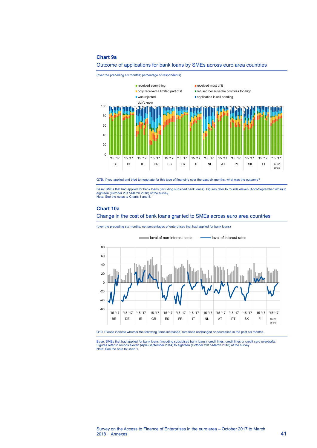### <span id="page-41-0"></span>**Chart 9a**



Outcome of applications for bank loans by SMEs across euro area countries

Q7B. If you applied and tried to negotiate for this type of financing over the past six months, what was the outcome?

Base: SMEs that had applied for bank loans (including subsided bank loans). Figures refer to rounds eleven (April-September 2014) to eighteen (October 2017-March 2018) of the survey. Note: See the notes t[o Charts 1](#page-6-2) an[d 8.](#page-16-0) 

### <span id="page-41-1"></span>**Chart 10a**

Change in the cost of bank loans granted to SMEs across euro area countries

(over the preceding six months; net percentages of enterprises that had applied for bank loans)



Q10. Please indicate whether the following items increased, remained unchanged or decreased in the past six months.

Base: SMEs that had applied for bank loans (including subsidised bank loans), credit lines, credit lines or credit card overdrafts.<br>Figures refer to rounds eleven (April-September 2014) to eighteen (October 2017-March 2018 Note: See the note t[o Chart 1.](#page-6-2)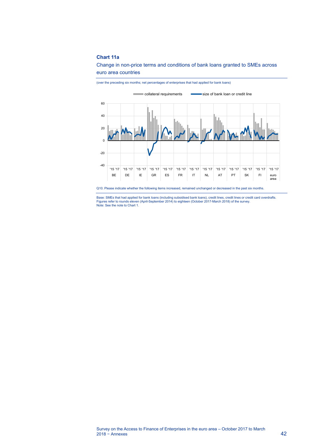### <span id="page-42-0"></span>**Chart 11a**

Change in non-price terms and conditions of bank loans granted to SMEs across euro area countries



Q10. Please indicate whether the following items increased, remained unchanged or decreased in the past six months.

Base: SMEs that had applied for bank loans (including subsidised bank loans), credit lines, credit lines or credit card overdrafts. Figures refer to rounds eleven (April-September 2014) to eighteen (October 2017-March 2018) of the survey. Note: See the note t[o Chart 1.](#page-6-2)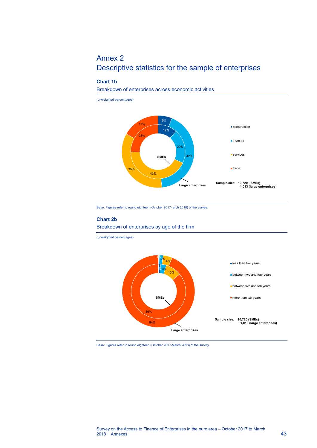# <span id="page-43-0"></span>Annex 2 Descriptive statistics for the sample of enterprises

### **Chart 1b**

Breakdown of enterprises across economic activities



Base: Figures refer to round eighteen (October 2017- arch 2018) of the survey.

## **Chart 2b** Breakdown of enterprises by age of the firm

(unweighted percentages)



Base: Figures refer to round eighteen (October 2017-March 2018) of the survey.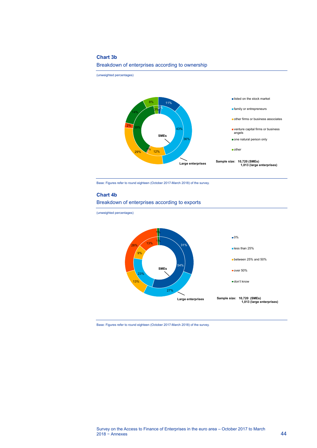### **Chart 3b**

Breakdown of enterprises according to ownership

(unweighted percentages)



Base: Figures refer to round eighteen (October 2017-March 2018) of the survey.

### **Chart 4b**



(unweighted percentages)



Base: Figures refer to round eighteen (October 2017-March 2018) of the survey.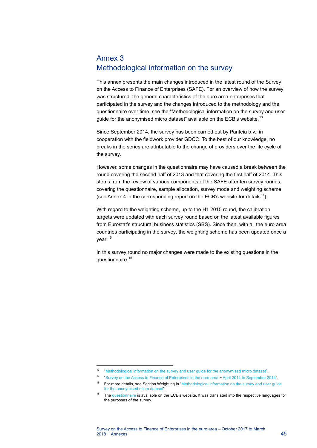# <span id="page-45-0"></span>Annex 3 Methodological information on the survey

This annex presents the main changes introduced in the latest round of the Survey on the Access to Finance of Enterprises (SAFE). For an overview of how the survey was structured, the general characteristics of the euro area enterprises that participated in the survey and the changes introduced to the methodology and the questionnaire over time, see the "Methodological information on the survey and user guide for the anonymised micro dataset" available on the ECB's website.<sup>[13](#page-45-1)</sup>

Since September 2014, the survey has been carried out by Panteia b.v., in cooperation with the fieldwork provider GDCC. To the best of our knowledge, no breaks in the series are attributable to the change of providers over the life cycle of the survey.

However, some changes in the questionnaire may have caused a break between the round covering the second half of 2013 and that covering the first half of 2014. This stems from the review of various components of the SAFE after ten survey rounds, covering the questionnaire, sample allocation, survey mode and weighting scheme (see Annex 4 in the corresponding report on the ECB's website for details<sup>14</sup>).

With regard to the weighting scheme, up to the H1 2015 round, the calibration targets were updated with each survey round based on the latest available figures from Eurostat's structural business statistics (SBS). Since then, with all the euro area countries participating in the survey, the weighting scheme has been updated once a year.<sup>[15](#page-45-3)</sup>

In this survey round no major changes were made to the existing questions in the questionnaire.<sup>[16](#page-45-4)</sup>

 $\overline{a}$ 

<span id="page-45-1"></span><sup>13</sup> ["Methodological information on the survey and user guide for the anonymised micro dataset"](http://www.ecb.europa.eu/stats/pdf/surveys/sme/methodological_information_survey_and_user_guide.pdf).

<span id="page-45-2"></span><sup>14</sup> ["Survey on the Access to Finance of Enterprises in the euro area](https://www.ecb.europa.eu/pub/pdf/other/accesstofinancesmallmediumsizedenterprises201411.en.pdf) − April 2014 to September 2014".

<span id="page-45-3"></span><sup>&</sup>lt;sup>15</sup> For more details, see Section Weighting in "Methodological information on the survey and user guide [for the anonymised micro dataset"](http://www.ecb.europa.eu/stats/pdf/surveys/sme/methodological_information_survey_and_user_guide.pdf).

<span id="page-45-4"></span><sup>&</sup>lt;sup>16</sup> Th[e questionnaire](http://www.ecb.europa.eu/stats/pdf/surveys/sme/SAFE_Questionnaire_2017H1.pdf) is available on the ECB's website. It was translated into the respective languages for the purposes of the survey.